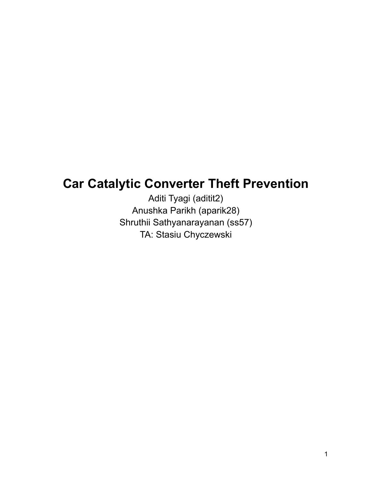# **Car Catalytic Converter Theft Prevention**

Aditi Tyagi (aditit2) Anushka Parikh (aparik28) Shruthii Sathyanarayanan (ss57) TA: Stasiu Chyczewski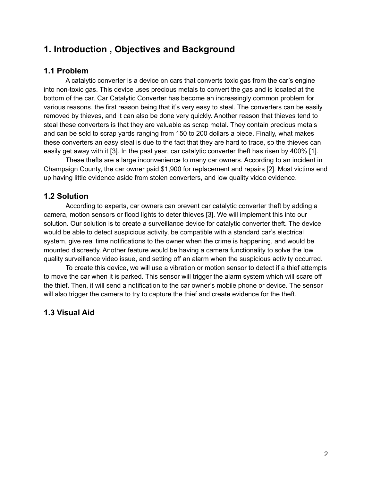# **1. Introduction , Objectives and Background**

### **1.1 Problem**

A catalytic converter is a device on cars that converts toxic gas from the car's engine into non-toxic gas. This device uses precious metals to convert the gas and is located at the bottom of the car. Car Catalytic Converter has become an increasingly common problem for various reasons, the first reason being that it's very easy to steal. The converters can be easily removed by thieves, and it can also be done very quickly. Another reason that thieves tend to steal these converters is that they are valuable as scrap metal. They contain precious metals and can be sold to scrap yards ranging from 150 to 200 dollars a piece. Finally, what makes these converters an easy steal is due to the fact that they are hard to trace, so the thieves can easily get away with it [3]. In the past year, car catalytic converter theft has risen by 400% [1].

These thefts are a large inconvenience to many car owners. According to an incident in Champaign County, the car owner paid \$1,900 for replacement and repairs [2]. Most victims end up having little evidence aside from stolen converters, and low quality video evidence.

### **1.2 Solution**

According to experts, car owners can prevent car catalytic converter theft by adding a camera, motion sensors or flood lights to deter thieves [3]. We will implement this into our solution. Our solution is to create a surveillance device for catalytic converter theft. The device would be able to detect suspicious activity, be compatible with a standard car's electrical system, give real time notifications to the owner when the crime is happening, and would be mounted discreetly. Another feature would be having a camera functionality to solve the low quality surveillance video issue, and setting off an alarm when the suspicious activity occurred.

To create this device, we will use a vibration or motion sensor to detect if a thief attempts to move the car when it is parked. This sensor will trigger the alarm system which will scare off the thief. Then, it will send a notification to the car owner's mobile phone or device. The sensor will also trigger the camera to try to capture the thief and create evidence for the theft.

### **1.3 Visual Aid**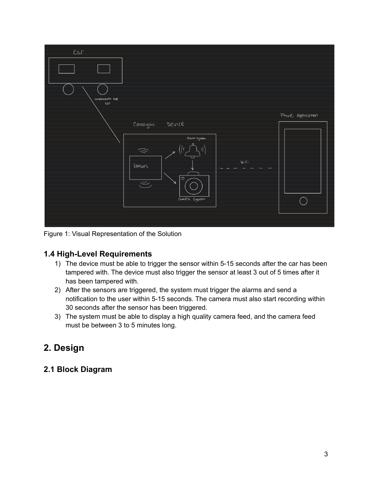

Figure 1: Visual Representation of the Solution

### **1.4 High-Level Requirements**

- 1) The device must be able to trigger the sensor within 5-15 seconds after the car has been tampered with. The device must also trigger the sensor at least 3 out of 5 times after it has been tampered with.
- 2) After the sensors are triggered, the system must trigger the alarms and send a notification to the user within 5-15 seconds. The camera must also start recording within 30 seconds after the sensor has been triggered.
- 3) The system must be able to display a high quality camera feed, and the camera feed must be between 3 to 5 minutes long.

# **2. Design**

### **2.1 Block Diagram**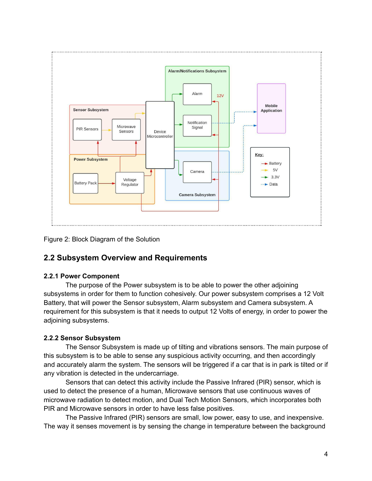

Figure 2: Block Diagram of the Solution

### **2.2 Subsystem Overview and Requirements**

### **2.2.1 Power Component**

The purpose of the Power subsystem is to be able to power the other adjoining subsystems in order for them to function cohesively. Our power subsystem comprises a 12 Volt Battery, that will power the Sensor subsystem, Alarm subsystem and Camera subsystem. A requirement for this subsystem is that it needs to output 12 Volts of energy, in order to power the adjoining subsystems.

### **2.2.2 Sensor Subsystem**

The Sensor Subsystem is made up of tilting and vibrations sensors. The main purpose of this subsystem is to be able to sense any suspicious activity occurring, and then accordingly and accurately alarm the system. The sensors will be triggered if a car that is in park is tilted or if any vibration is detected in the undercarriage.

Sensors that can detect this activity include the Passive Infrared (PIR) sensor, which is used to detect the presence of a human, Microwave sensors that use continuous waves of microwave radiation to detect motion, and Dual Tech Motion Sensors, which incorporates both PIR and Microwave sensors in order to have less false positives.

The Passive Infrared (PIR) sensors are small, low power, easy to use, and inexpensive. The way it senses movement is by sensing the change in temperature between the background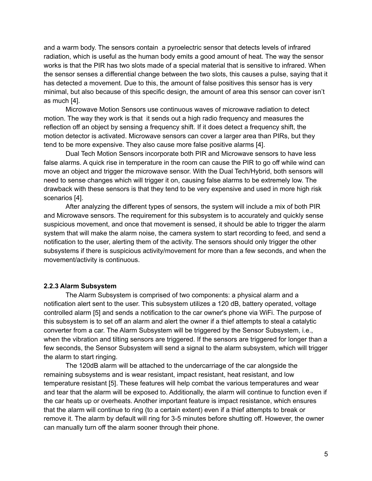and a warm body. The sensors contain a pyroelectric sensor that detects levels of infrared radiation, which is useful as the human body emits a good amount of heat. The way the sensor works is that the PIR has two slots made of a special material that is sensitive to infrared. When the sensor senses a differential change between the two slots, this causes a pulse, saying that it has detected a movement. Due to this, the amount of false positives this sensor has is very minimal, but also because of this specific design, the amount of area this sensor can cover isn't as much [4].

Microwave Motion Sensors use continuous waves of microwave radiation to detect motion. The way they work is that it sends out a high radio frequency and measures the reflection off an object by sensing a frequency shift. If it does detect a frequency shift, the motion detector is activated. Microwave sensors can cover a larger area than PIRs, but they tend to be more expensive. They also cause more false positive alarms [4].

Dual Tech Motion Sensors incorporate both PIR and Microwave sensors to have less false alarms. A quick rise in temperature in the room can cause the PIR to go off while wind can move an object and trigger the microwave sensor. With the Dual Tech/Hybrid, both sensors will need to sense changes which will trigger it on, causing false alarms to be extremely low. The drawback with these sensors is that they tend to be very expensive and used in more high risk scenarios [4].

After analyzing the different types of sensors, the system will include a mix of both PIR and Microwave sensors. The requirement for this subsystem is to accurately and quickly sense suspicious movement, and once that movement is sensed, it should be able to trigger the alarm system that will make the alarm noise, the camera system to start recording to feed, and send a notification to the user, alerting them of the activity. The sensors should only trigger the other subsystems if there is suspicious activity/movement for more than a few seconds, and when the movement/activity is continuous.

#### **2.2.3 Alarm Subsystem**

The Alarm Subsystem is comprised of two components: a physical alarm and a notification alert sent to the user. This subsystem utilizes a 120 dB, battery operated, voltage controlled alarm [5] and sends a notification to the car owner's phone via WiFi. The purpose of this subsystem is to set off an alarm and alert the owner if a thief attempts to steal a catalytic converter from a car. The Alarm Subsystem will be triggered by the Sensor Subsystem, i.e., when the vibration and tilting sensors are triggered. If the sensors are triggered for longer than a few seconds, the Sensor Subsystem will send a signal to the alarm subsystem, which will trigger the alarm to start ringing.

The 120dB alarm will be attached to the undercarriage of the car alongside the remaining subsystems and is wear resistant, impact resistant, heat resistant, and low temperature resistant [5]. These features will help combat the various temperatures and wear and tear that the alarm will be exposed to. Additionally, the alarm will continue to function even if the car heats up or overheats. Another important feature is impact resistance, which ensures that the alarm will continue to ring (to a certain extent) even if a thief attempts to break or remove it. The alarm by default will ring for 3-5 minutes before shutting off. However, the owner can manually turn off the alarm sooner through their phone.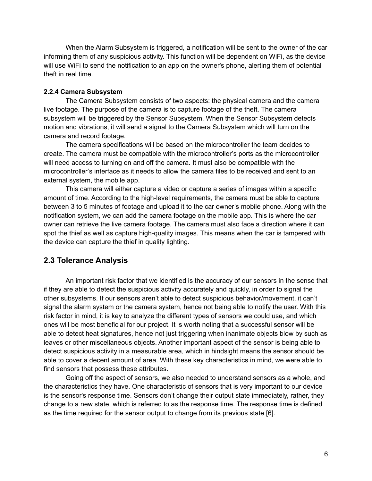When the Alarm Subsystem is triggered, a notification will be sent to the owner of the car informing them of any suspicious activity. This function will be dependent on WiFi, as the device will use WiFi to send the notification to an app on the owner's phone, alerting them of potential theft in real time.

#### **2.2.4 Camera Subsystem**

The Camera Subsystem consists of two aspects: the physical camera and the camera live footage. The purpose of the camera is to capture footage of the theft. The camera subsystem will be triggered by the Sensor Subsystem. When the Sensor Subsystem detects motion and vibrations, it will send a signal to the Camera Subsystem which will turn on the camera and record footage.

The camera specifications will be based on the microcontroller the team decides to create. The camera must be compatible with the microcontroller's ports as the microcontroller will need access to turning on and off the camera. It must also be compatible with the microcontroller's interface as it needs to allow the camera files to be received and sent to an external system, the mobile app.

This camera will either capture a video or capture a series of images within a specific amount of time. According to the high-level requirements, the camera must be able to capture between 3 to 5 minutes of footage and upload it to the car owner's mobile phone. Along with the notification system, we can add the camera footage on the mobile app. This is where the car owner can retrieve the live camera footage. The camera must also face a direction where it can spot the thief as well as capture high-quality images. This means when the car is tampered with the device can capture the thief in quality lighting.

### **2.3 Tolerance Analysis**

An important risk factor that we identified is the accuracy of our sensors in the sense that if they are able to detect the suspicious activity accurately and quickly, in order to signal the other subsystems. If our sensors aren't able to detect suspicious behavior/movement, it can't signal the alarm system or the camera system, hence not being able to notify the user. With this risk factor in mind, it is key to analyze the different types of sensors we could use, and which ones will be most beneficial for our project. It is worth noting that a successful sensor will be able to detect heat signatures, hence not just triggering when inanimate objects blow by such as leaves or other miscellaneous objects. Another important aspect of the sensor is being able to detect suspicious activity in a measurable area, which in hindsight means the sensor should be able to cover a decent amount of area. With these key characteristics in mind, we were able to find sensors that possess these attributes.

Going off the aspect of sensors, we also needed to understand sensors as a whole, and the characteristics they have. One characteristic of sensors that is very important to our device is the sensor's response time. Sensors don't change their output state immediately, rather, they change to a new state, which is referred to as the response time. The response time is defined as the time required for the sensor output to change from its previous state [6].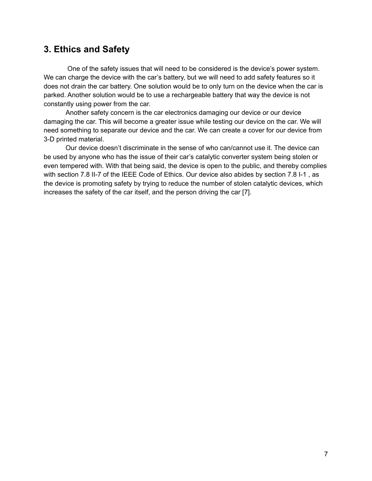## **3. Ethics and Safety**

One of the safety issues that will need to be considered is the device's power system. We can charge the device with the car's battery, but we will need to add safety features so it does not drain the car battery. One solution would be to only turn on the device when the car is parked. Another solution would be to use a rechargeable battery that way the device is not constantly using power from the car.

Another safety concern is the car electronics damaging our device or our device damaging the car. This will become a greater issue while testing our device on the car. We will need something to separate our device and the car. We can create a cover for our device from 3-D printed material.

Our device doesn't discriminate in the sense of who can/cannot use it. The device can be used by anyone who has the issue of their car's catalytic converter system being stolen or even tempered with. With that being said, the device is open to the public, and thereby complies with section 7.8 II-7 of the IEEE Code of Ethics. Our device also abides by section 7.8 I-1 , as the device is promoting safety by trying to reduce the number of stolen catalytic devices, which increases the safety of the car itself, and the person driving the car [7].